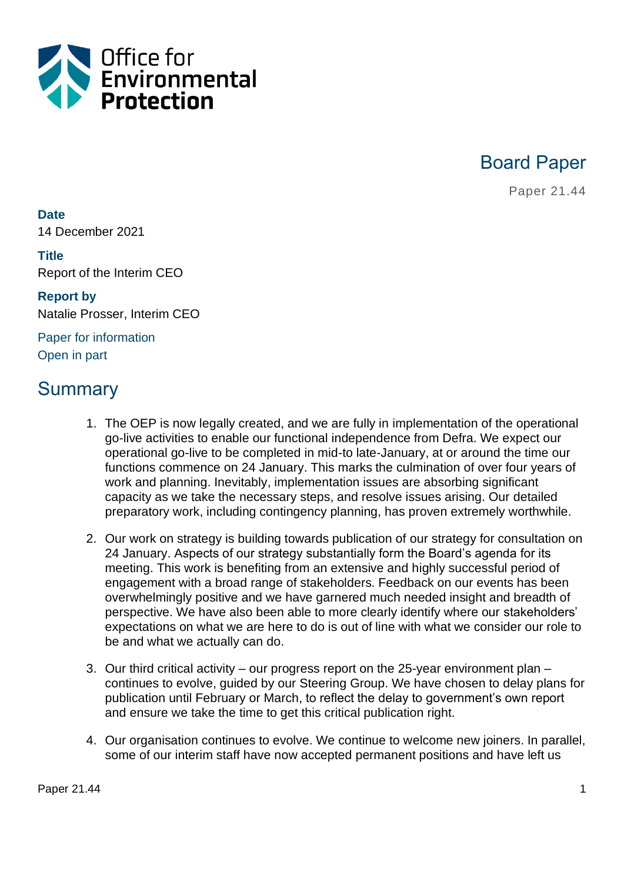

Board Paper

Paper 21.44

**Date** 14 December 2021

**Title** Report of the Interim CEO

**Report by** Natalie Prosser, Interim CEO

Paper for information Open in part

# **Summary**

- 1. The OEP is now legally created, and we are fully in implementation of the operational go-live activities to enable our functional independence from Defra. We expect our operational go-live to be completed in mid-to late-January, at or around the time our functions commence on 24 January. This marks the culmination of over four years of work and planning. Inevitably, implementation issues are absorbing significant capacity as we take the necessary steps, and resolve issues arising. Our detailed preparatory work, including contingency planning, has proven extremely worthwhile.
- 2. Our work on strategy is building towards publication of our strategy for consultation on 24 January. Aspects of our strategy substantially form the Board's agenda for its meeting. This work is benefiting from an extensive and highly successful period of engagement with a broad range of stakeholders. Feedback on our events has been overwhelmingly positive and we have garnered much needed insight and breadth of perspective. We have also been able to more clearly identify where our stakeholders' expectations on what we are here to do is out of line with what we consider our role to be and what we actually can do.
- 3. Our third critical activity our progress report on the 25-year environment plan continues to evolve, guided by our Steering Group. We have chosen to delay plans for publication until February or March, to reflect the delay to government's own report and ensure we take the time to get this critical publication right.
- 4. Our organisation continues to evolve. We continue to welcome new joiners. In parallel, some of our interim staff have now accepted permanent positions and have left us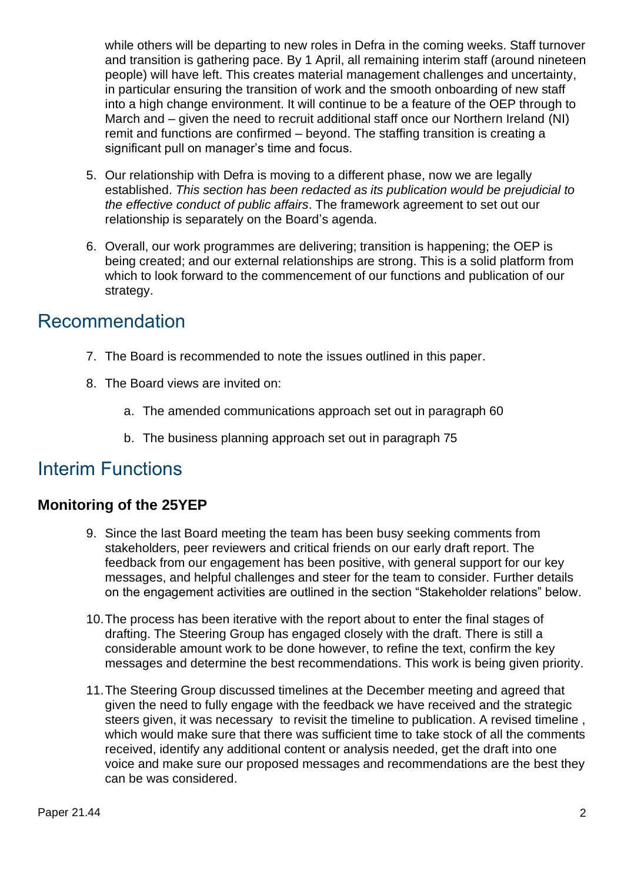while others will be departing to new roles in Defra in the coming weeks. Staff turnover and transition is gathering pace. By 1 April, all remaining interim staff (around nineteen people) will have left. This creates material management challenges and uncertainty, in particular ensuring the transition of work and the smooth onboarding of new staff into a high change environment. It will continue to be a feature of the OEP through to March and – given the need to recruit additional staff once our Northern Ireland (NI) remit and functions are confirmed – beyond. The staffing transition is creating a significant pull on manager's time and focus.

- 5. Our relationship with Defra is moving to a different phase, now we are legally established. *This section has been redacted as its publication would be prejudicial to the effective conduct of public affairs*. The framework agreement to set out our relationship is separately on the Board's agenda.
- 6. Overall, our work programmes are delivering; transition is happening; the OEP is being created; and our external relationships are strong. This is a solid platform from which to look forward to the commencement of our functions and publication of our strategy.

## Recommendation

- 7. The Board is recommended to note the issues outlined in this paper.
- 8. The Board views are invited on:
	- a. The amended communications approach set out in paragraph 60
	- b. The business planning approach set out in paragraph 75

## Interim Functions

#### **Monitoring of the 25YEP**

- 9. Since the last Board meeting the team has been busy seeking comments from stakeholders, peer reviewers and critical friends on our early draft report. The feedback from our engagement has been positive, with general support for our key messages, and helpful challenges and steer for the team to consider. Further details on the engagement activities are outlined in the section "Stakeholder relations" below.
- 10.The process has been iterative with the report about to enter the final stages of drafting. The Steering Group has engaged closely with the draft. There is still a considerable amount work to be done however, to refine the text, confirm the key messages and determine the best recommendations. This work is being given priority.
- 11.The Steering Group discussed timelines at the December meeting and agreed that given the need to fully engage with the feedback we have received and the strategic steers given, it was necessary to revisit the timeline to publication. A revised timeline , which would make sure that there was sufficient time to take stock of all the comments received, identify any additional content or analysis needed, get the draft into one voice and make sure our proposed messages and recommendations are the best they can be was considered.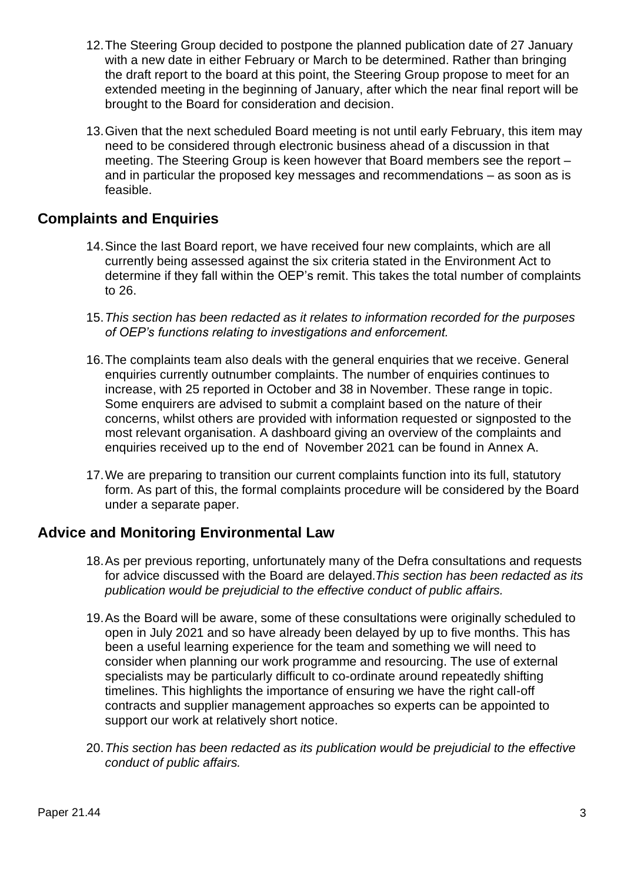- 12.The Steering Group decided to postpone the planned publication date of 27 January with a new date in either February or March to be determined. Rather than bringing the draft report to the board at this point, the Steering Group propose to meet for an extended meeting in the beginning of January, after which the near final report will be brought to the Board for consideration and decision.
- 13.Given that the next scheduled Board meeting is not until early February, this item may need to be considered through electronic business ahead of a discussion in that meeting. The Steering Group is keen however that Board members see the report – and in particular the proposed key messages and recommendations – as soon as is feasible.

#### **Complaints and Enquiries**

- 14.Since the last Board report, we have received four new complaints, which are all currently being assessed against the six criteria stated in the Environment Act to determine if they fall within the OEP's remit. This takes the total number of complaints to 26.
- 15.*This section has been redacted as it relates to information recorded for the purposes of OEP's functions relating to investigations and enforcement.*
- 16.The complaints team also deals with the general enquiries that we receive. General enquiries currently outnumber complaints. The number of enquiries continues to increase, with 25 reported in October and 38 in November. These range in topic. Some enquirers are advised to submit a complaint based on the nature of their concerns, whilst others are provided with information requested or signposted to the most relevant organisation. A dashboard giving an overview of the complaints and enquiries received up to the end of November 2021 can be found in Annex A.
- 17.We are preparing to transition our current complaints function into its full, statutory form. As part of this, the formal complaints procedure will be considered by the Board under a separate paper.

#### **Advice and Monitoring Environmental Law**

- 18.As per previous reporting, unfortunately many of the Defra consultations and requests for advice discussed with the Board are delayed.*This section has been redacted as its publication would be prejudicial to the effective conduct of public affairs.*
- 19.As the Board will be aware, some of these consultations were originally scheduled to open in July 2021 and so have already been delayed by up to five months. This has been a useful learning experience for the team and something we will need to consider when planning our work programme and resourcing. The use of external specialists may be particularly difficult to co-ordinate around repeatedly shifting timelines. This highlights the importance of ensuring we have the right call-off contracts and supplier management approaches so experts can be appointed to support our work at relatively short notice.
- 20.*This section has been redacted as its publication would be prejudicial to the effective conduct of public affairs.*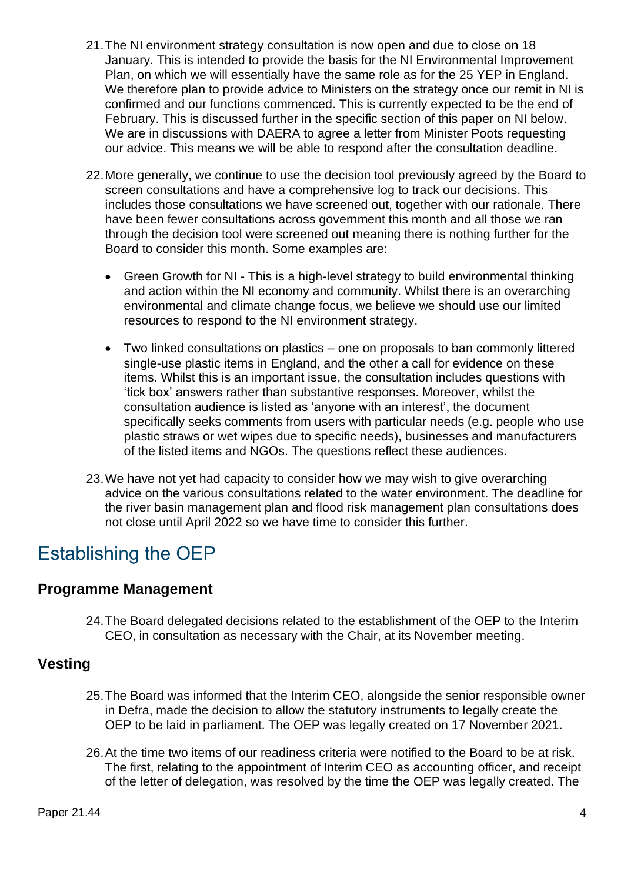- 21.The NI environment strategy consultation is now open and due to close on 18 January. This is intended to provide the basis for the NI Environmental Improvement Plan, on which we will essentially have the same role as for the 25 YEP in England. We therefore plan to provide advice to Ministers on the strategy once our remit in NI is confirmed and our functions commenced. This is currently expected to be the end of February. This is discussed further in the specific section of this paper on NI below. We are in discussions with DAERA to agree a letter from Minister Poots requesting our advice. This means we will be able to respond after the consultation deadline.
- 22.More generally, we continue to use the decision tool previously agreed by the Board to screen consultations and have a comprehensive log to track our decisions. This includes those consultations we have screened out, together with our rationale. There have been fewer consultations across government this month and all those we ran through the decision tool were screened out meaning there is nothing further for the Board to consider this month. Some examples are:
	- Green Growth for NI This is a high-level strategy to build environmental thinking and action within the NI economy and community. Whilst there is an overarching environmental and climate change focus, we believe we should use our limited resources to respond to the NI environment strategy.
	- Two linked consultations on plastics one on proposals to ban commonly littered single-use plastic items in England, and the other a call for evidence on these items. Whilst this is an important issue, the consultation includes questions with 'tick box' answers rather than substantive responses. Moreover, whilst the consultation audience is listed as 'anyone with an interest', the document specifically seeks comments from users with particular needs (e.g. people who use plastic straws or wet wipes due to specific needs), businesses and manufacturers of the listed items and NGOs. The questions reflect these audiences.
- 23.We have not yet had capacity to consider how we may wish to give overarching advice on the various consultations related to the water environment. The deadline for the river basin management plan and flood risk management plan consultations does not close until April 2022 so we have time to consider this further.

# Establishing the OEP

#### **Programme Management**

24.The Board delegated decisions related to the establishment of the OEP to the Interim CEO, in consultation as necessary with the Chair, at its November meeting.

#### **Vesting**

- 25.The Board was informed that the Interim CEO, alongside the senior responsible owner in Defra, made the decision to allow the statutory instruments to legally create the OEP to be laid in parliament. The OEP was legally created on 17 November 2021.
- 26.At the time two items of our readiness criteria were notified to the Board to be at risk. The first, relating to the appointment of Interim CEO as accounting officer, and receipt of the letter of delegation, was resolved by the time the OEP was legally created. The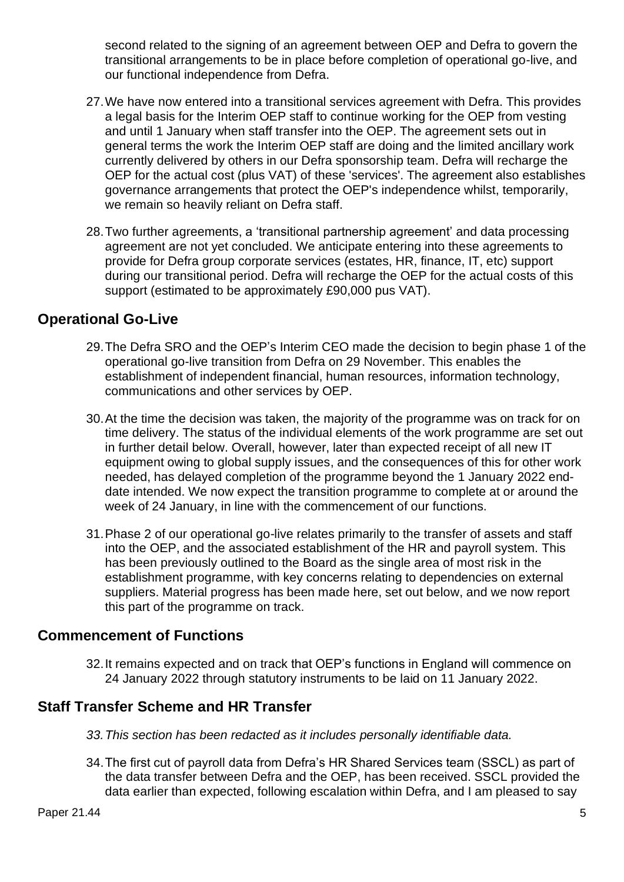second related to the signing of an agreement between OEP and Defra to govern the transitional arrangements to be in place before completion of operational go-live, and our functional independence from Defra.

- 27.We have now entered into a transitional services agreement with Defra. This provides a legal basis for the Interim OEP staff to continue working for the OEP from vesting and until 1 January when staff transfer into the OEP. The agreement sets out in general terms the work the Interim OEP staff are doing and the limited ancillary work currently delivered by others in our Defra sponsorship team. Defra will recharge the OEP for the actual cost (plus VAT) of these 'services'. The agreement also establishes governance arrangements that protect the OEP's independence whilst, temporarily, we remain so heavily reliant on Defra staff.
- 28.Two further agreements, a 'transitional partnership agreement' and data processing agreement are not yet concluded. We anticipate entering into these agreements to provide for Defra group corporate services (estates, HR, finance, IT, etc) support during our transitional period. Defra will recharge the OEP for the actual costs of this support (estimated to be approximately £90,000 pus VAT).

#### **Operational Go-Live**

- 29.The Defra SRO and the OEP's Interim CEO made the decision to begin phase 1 of the operational go-live transition from Defra on 29 November. This enables the establishment of independent financial, human resources, information technology, communications and other services by OEP.
- 30.At the time the decision was taken, the majority of the programme was on track for on time delivery. The status of the individual elements of the work programme are set out in further detail below. Overall, however, later than expected receipt of all new IT equipment owing to global supply issues, and the consequences of this for other work needed, has delayed completion of the programme beyond the 1 January 2022 enddate intended. We now expect the transition programme to complete at or around the week of 24 January, in line with the commencement of our functions.
- 31.Phase 2 of our operational go-live relates primarily to the transfer of assets and staff into the OEP, and the associated establishment of the HR and payroll system. This has been previously outlined to the Board as the single area of most risk in the establishment programme, with key concerns relating to dependencies on external suppliers. Material progress has been made here, set out below, and we now report this part of the programme on track.

#### **Commencement of Functions**

32.It remains expected and on track that OEP's functions in England will commence on 24 January 2022 through statutory instruments to be laid on 11 January 2022.

#### **Staff Transfer Scheme and HR Transfer**

- *33.This section has been redacted as it includes personally identifiable data.*
- 34.The first cut of payroll data from Defra's HR Shared Services team (SSCL) as part of the data transfer between Defra and the OEP, has been received. SSCL provided the data earlier than expected, following escalation within Defra, and I am pleased to say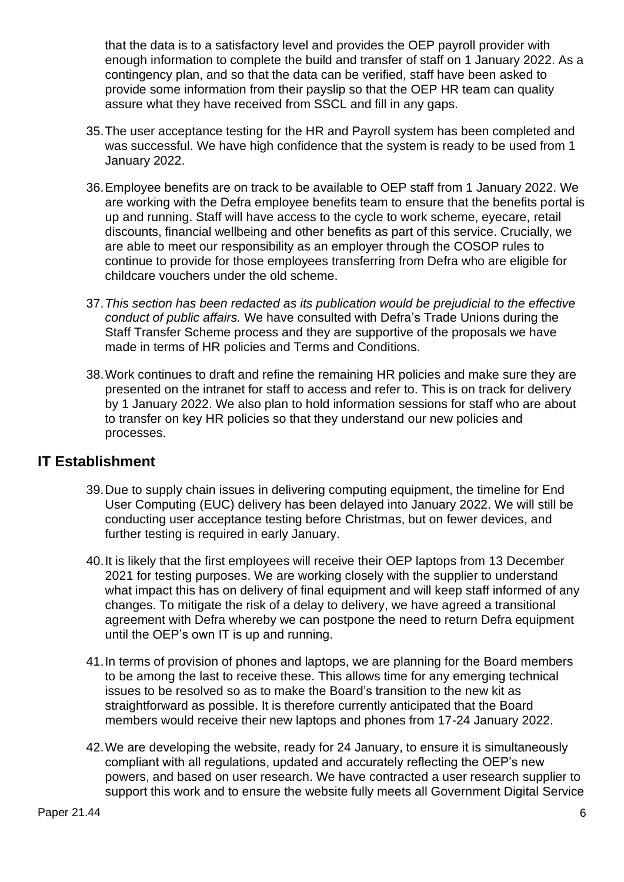that the data is to a satisfactory level and provides the OEP payroll provider with enough information to complete the build and transfer of staff on 1 January 2022. As a contingency plan, and so that the data can be verified, staff have been asked to provide some information from their payslip so that the OEP HR team can quality assure what they have received from SSCL and fill in any gaps.

- 35.The user acceptance testing for the HR and Payroll system has been completed and was successful. We have high confidence that the system is ready to be used from 1 January 2022.
- 36.Employee benefits are on track to be available to OEP staff from 1 January 2022. We are working with the Defra employee benefits team to ensure that the benefits portal is up and running. Staff will have access to the cycle to work scheme, eyecare, retail discounts, financial wellbeing and other benefits as part of this service. Crucially, we are able to meet our responsibility as an employer through the COSOP rules to continue to provide for those employees transferring from Defra who are eligible for childcare vouchers under the old scheme.
- 37.*This section has been redacted as its publication would be prejudicial to the effective conduct of public affairs.* We have consulted with Defra's Trade Unions during the Staff Transfer Scheme process and they are supportive of the proposals we have made in terms of HR policies and Terms and Conditions.
- 38.Work continues to draft and refine the remaining HR policies and make sure they are presented on the intranet for staff to access and refer to. This is on track for delivery by 1 January 2022. We also plan to hold information sessions for staff who are about to transfer on key HR policies so that they understand our new policies and processes.

#### **IT Establishment**

- 39.Due to supply chain issues in delivering computing equipment, the timeline for End User Computing (EUC) delivery has been delayed into January 2022. We will still be conducting user acceptance testing before Christmas, but on fewer devices, and further testing is required in early January.
- 40.It is likely that the first employees will receive their OEP laptops from 13 December 2021 for testing purposes. We are working closely with the supplier to understand what impact this has on delivery of final equipment and will keep staff informed of any changes. To mitigate the risk of a delay to delivery, we have agreed a transitional agreement with Defra whereby we can postpone the need to return Defra equipment until the OEP's own IT is up and running.
- 41.In terms of provision of phones and laptops, we are planning for the Board members to be among the last to receive these. This allows time for any emerging technical issues to be resolved so as to make the Board's transition to the new kit as straightforward as possible. It is therefore currently anticipated that the Board members would receive their new laptops and phones from 17-24 January 2022.
- 42.We are developing the website, ready for 24 January, to ensure it is simultaneously compliant with all regulations, updated and accurately reflecting the OEP's new powers, and based on user research. We have contracted a user research supplier to support this work and to ensure the website fully meets all Government Digital Service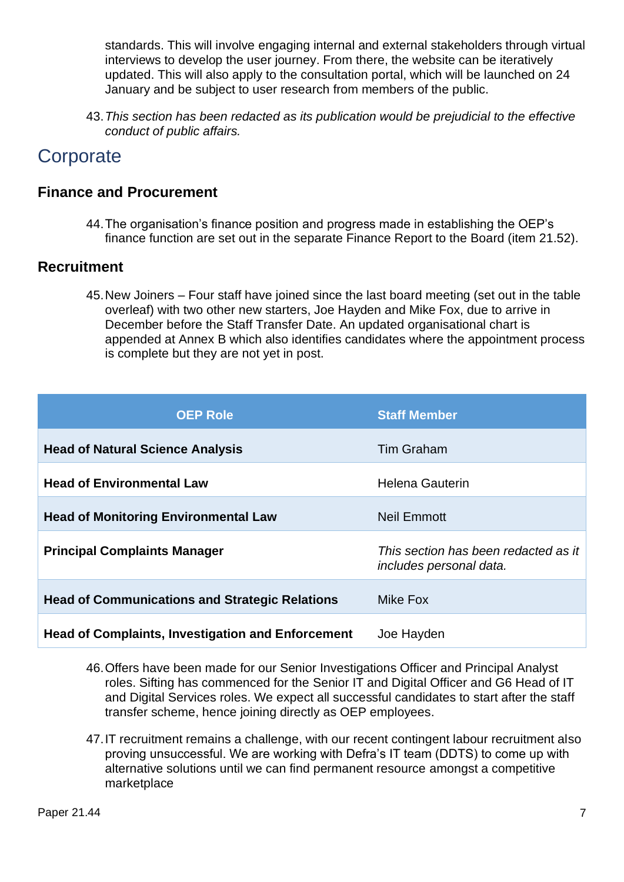standards. This will involve engaging internal and external stakeholders through virtual interviews to develop the user journey. From there, the website can be iteratively updated. This will also apply to the consultation portal, which will be launched on 24 January and be subject to user research from members of the public.

43.*This section has been redacted as its publication would be prejudicial to the effective conduct of public affairs.*

# **Corporate**

### **Finance and Procurement**

44.The organisation's finance position and progress made in establishing the OEP's finance function are set out in the separate Finance Report to the Board (item 21.52).

#### **Recruitment**

45.New Joiners – Four staff have joined since the last board meeting (set out in the table overleaf) with two other new starters, Joe Hayden and Mike Fox, due to arrive in December before the Staff Transfer Date. An updated organisational chart is appended at Annex B which also identifies candidates where the appointment process is complete but they are not yet in post.

| <b>OEP Role</b>                                          | <b>Staff Member</b>                                             |
|----------------------------------------------------------|-----------------------------------------------------------------|
| <b>Head of Natural Science Analysis</b>                  | <b>Tim Graham</b>                                               |
| <b>Head of Environmental Law</b>                         | <b>Helena Gauterin</b>                                          |
| <b>Head of Monitoring Environmental Law</b>              | Neil Emmott                                                     |
| <b>Principal Complaints Manager</b>                      | This section has been redacted as it<br>includes personal data. |
| <b>Head of Communications and Strategic Relations</b>    | Mike Fox                                                        |
| <b>Head of Complaints, Investigation and Enforcement</b> | Joe Hayden                                                      |

- 46.Offers have been made for our Senior Investigations Officer and Principal Analyst roles. Sifting has commenced for the Senior IT and Digital Officer and G6 Head of IT and Digital Services roles. We expect all successful candidates to start after the staff transfer scheme, hence joining directly as OEP employees.
- 47.IT recruitment remains a challenge, with our recent contingent labour recruitment also proving unsuccessful. We are working with Defra's IT team (DDTS) to come up with alternative solutions until we can find permanent resource amongst a competitive marketplace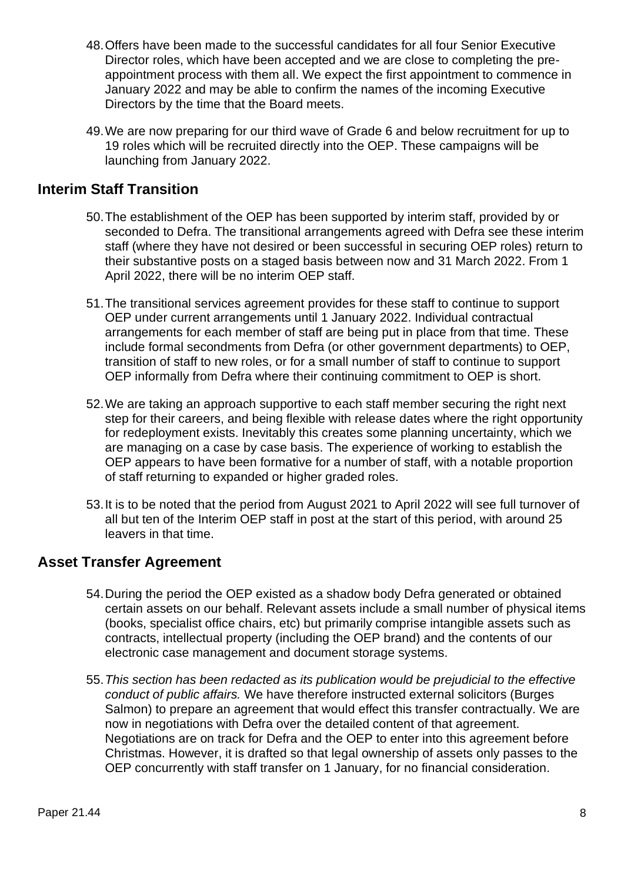- 48.Offers have been made to the successful candidates for all four Senior Executive Director roles, which have been accepted and we are close to completing the preappointment process with them all. We expect the first appointment to commence in January 2022 and may be able to confirm the names of the incoming Executive Directors by the time that the Board meets.
- 49.We are now preparing for our third wave of Grade 6 and below recruitment for up to 19 roles which will be recruited directly into the OEP. These campaigns will be launching from January 2022.

#### **Interim Staff Transition**

- 50.The establishment of the OEP has been supported by interim staff, provided by or seconded to Defra. The transitional arrangements agreed with Defra see these interim staff (where they have not desired or been successful in securing OEP roles) return to their substantive posts on a staged basis between now and 31 March 2022. From 1 April 2022, there will be no interim OEP staff.
- 51.The transitional services agreement provides for these staff to continue to support OEP under current arrangements until 1 January 2022. Individual contractual arrangements for each member of staff are being put in place from that time. These include formal secondments from Defra (or other government departments) to OEP, transition of staff to new roles, or for a small number of staff to continue to support OEP informally from Defra where their continuing commitment to OEP is short.
- 52.We are taking an approach supportive to each staff member securing the right next step for their careers, and being flexible with release dates where the right opportunity for redeployment exists. Inevitably this creates some planning uncertainty, which we are managing on a case by case basis. The experience of working to establish the OEP appears to have been formative for a number of staff, with a notable proportion of staff returning to expanded or higher graded roles.
- 53.It is to be noted that the period from August 2021 to April 2022 will see full turnover of all but ten of the Interim OEP staff in post at the start of this period, with around 25 leavers in that time.

#### **Asset Transfer Agreement**

- 54.During the period the OEP existed as a shadow body Defra generated or obtained certain assets on our behalf. Relevant assets include a small number of physical items (books, specialist office chairs, etc) but primarily comprise intangible assets such as contracts, intellectual property (including the OEP brand) and the contents of our electronic case management and document storage systems.
- 55.*This section has been redacted as its publication would be prejudicial to the effective conduct of public affairs.* We have therefore instructed external solicitors (Burges Salmon) to prepare an agreement that would effect this transfer contractually. We are now in negotiations with Defra over the detailed content of that agreement. Negotiations are on track for Defra and the OEP to enter into this agreement before Christmas. However, it is drafted so that legal ownership of assets only passes to the OEP concurrently with staff transfer on 1 January, for no financial consideration.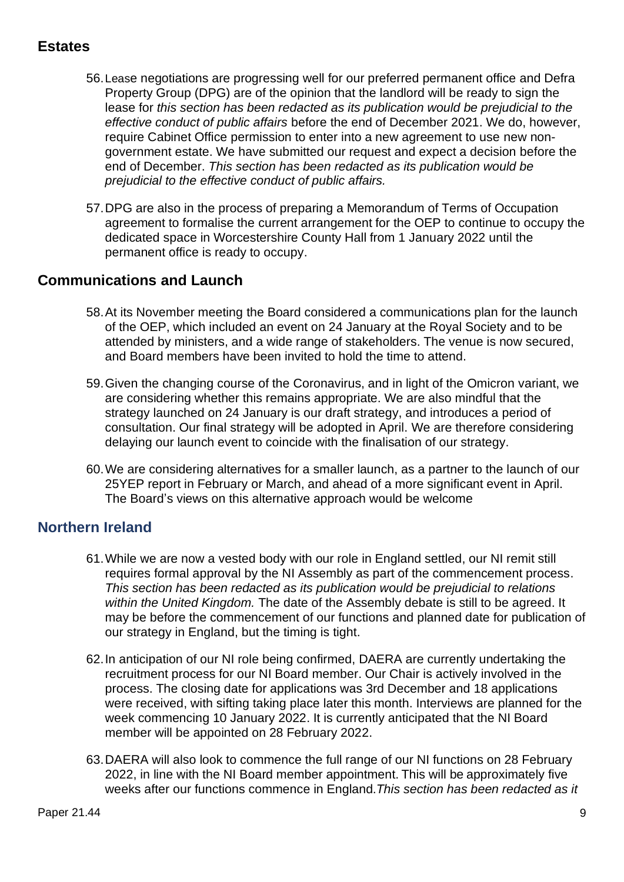### **Estates**

- 56.Lease negotiations are progressing well for our preferred permanent office and Defra Property Group (DPG) are of the opinion that the landlord will be ready to sign the lease for *this section has been redacted as its publication would be prejudicial to the effective conduct of public affairs* before the end of December 2021. We do, however, require Cabinet Office permission to enter into a new agreement to use new nongovernment estate. We have submitted our request and expect a decision before the end of December. *This section has been redacted as its publication would be prejudicial to the effective conduct of public affairs.*
- 57.DPG are also in the process of preparing a Memorandum of Terms of Occupation agreement to formalise the current arrangement for the OEP to continue to occupy the dedicated space in Worcestershire County Hall from 1 January 2022 until the permanent office is ready to occupy.

#### **Communications and Launch**

- 58.At its November meeting the Board considered a communications plan for the launch of the OEP, which included an event on 24 January at the Royal Society and to be attended by ministers, and a wide range of stakeholders. The venue is now secured, and Board members have been invited to hold the time to attend.
- 59.Given the changing course of the Coronavirus, and in light of the Omicron variant, we are considering whether this remains appropriate. We are also mindful that the strategy launched on 24 January is our draft strategy, and introduces a period of consultation. Our final strategy will be adopted in April. We are therefore considering delaying our launch event to coincide with the finalisation of our strategy.
- 60.We are considering alternatives for a smaller launch, as a partner to the launch of our 25YEP report in February or March, and ahead of a more significant event in April. The Board's views on this alternative approach would be welcome

#### **Northern Ireland**

- 61.While we are now a vested body with our role in England settled, our NI remit still requires formal approval by the NI Assembly as part of the commencement process. *This section has been redacted as its publication would be prejudicial to relations within the United Kingdom.* The date of the Assembly debate is still to be agreed. It may be before the commencement of our functions and planned date for publication of our strategy in England, but the timing is tight.
- 62.In anticipation of our NI role being confirmed, DAERA are currently undertaking the recruitment process for our NI Board member. Our Chair is actively involved in the process. The closing date for applications was 3rd December and 18 applications were received, with sifting taking place later this month. Interviews are planned for the week commencing 10 January 2022. It is currently anticipated that the NI Board member will be appointed on 28 February 2022.
- 63.DAERA will also look to commence the full range of our NI functions on 28 February 2022, in line with the NI Board member appointment. This will be approximately five weeks after our functions commence in England.*This section has been redacted as it*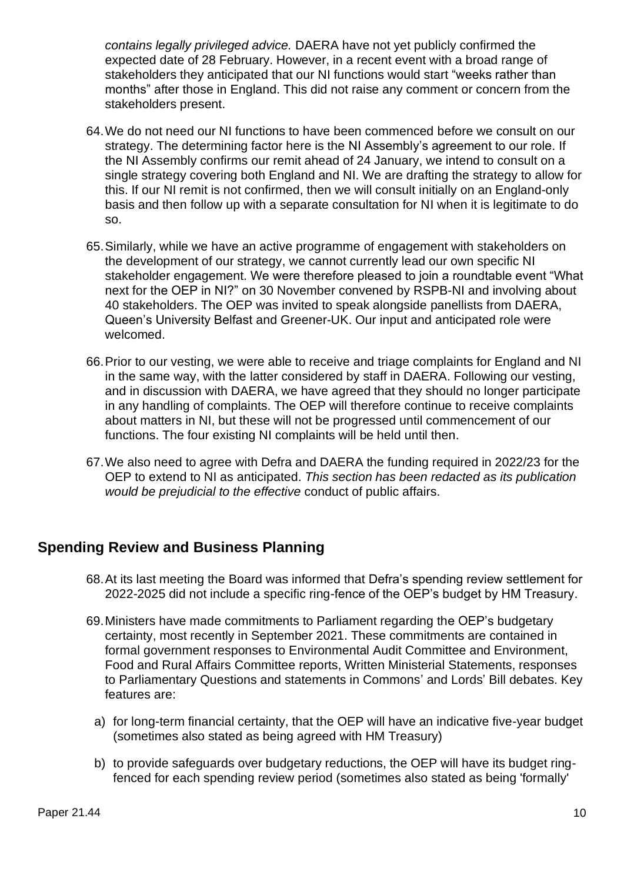*contains legally privileged advice.* DAERA have not yet publicly confirmed the expected date of 28 February. However, in a recent event with a broad range of stakeholders they anticipated that our NI functions would start "weeks rather than months" after those in England. This did not raise any comment or concern from the stakeholders present.

- 64.We do not need our NI functions to have been commenced before we consult on our strategy. The determining factor here is the NI Assembly's agreement to our role. If the NI Assembly confirms our remit ahead of 24 January, we intend to consult on a single strategy covering both England and NI. We are drafting the strategy to allow for this. If our NI remit is not confirmed, then we will consult initially on an England-only basis and then follow up with a separate consultation for NI when it is legitimate to do so.
- 65.Similarly, while we have an active programme of engagement with stakeholders on the development of our strategy, we cannot currently lead our own specific NI stakeholder engagement. We were therefore pleased to join a roundtable event "What next for the OEP in NI?" on 30 November convened by RSPB-NI and involving about 40 stakeholders. The OEP was invited to speak alongside panellists from DAERA, Queen's University Belfast and Greener-UK. Our input and anticipated role were welcomed.
- 66.Prior to our vesting, we were able to receive and triage complaints for England and NI in the same way, with the latter considered by staff in DAERA. Following our vesting, and in discussion with DAERA, we have agreed that they should no longer participate in any handling of complaints. The OEP will therefore continue to receive complaints about matters in NI, but these will not be progressed until commencement of our functions. The four existing NI complaints will be held until then.
- 67.We also need to agree with Defra and DAERA the funding required in 2022/23 for the OEP to extend to NI as anticipated. *This section has been redacted as its publication would be prejudicial to the effective* conduct of public affairs.

#### **Spending Review and Business Planning**

- 68.At its last meeting the Board was informed that Defra's spending review settlement for 2022-2025 did not include a specific ring-fence of the OEP's budget by HM Treasury.
- 69.Ministers have made commitments to Parliament regarding the OEP's budgetary certainty, most recently in September 2021. These commitments are contained in formal government responses to Environmental Audit Committee and Environment, Food and Rural Affairs Committee reports, Written Ministerial Statements, responses to Parliamentary Questions and statements in Commons' and Lords' Bill debates. Key features are:
	- a) for long-term financial certainty, that the OEP will have an indicative five-year budget (sometimes also stated as being agreed with HM Treasury)
	- b) to provide safeguards over budgetary reductions, the OEP will have its budget ringfenced for each spending review period (sometimes also stated as being 'formally'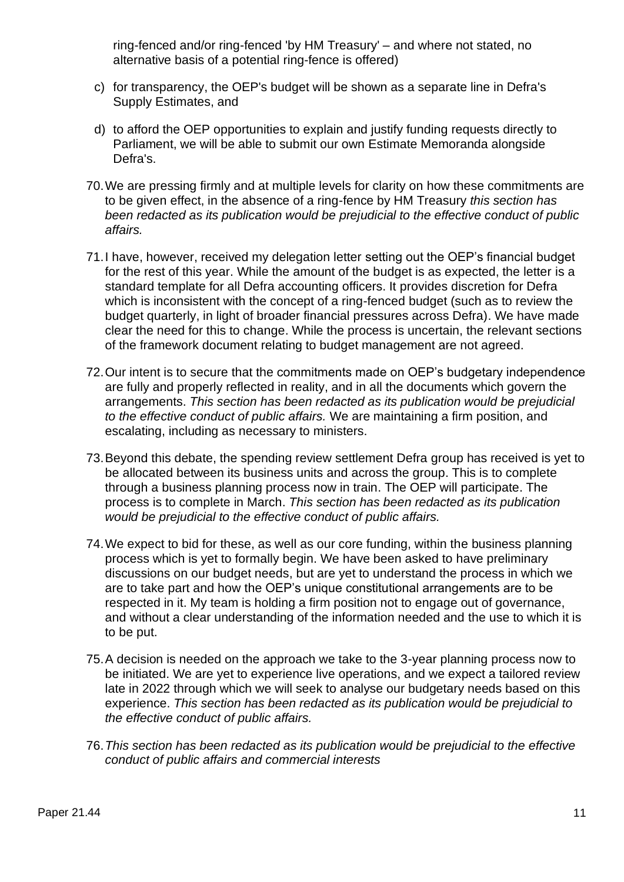ring-fenced and/or ring-fenced 'by HM Treasury' – and where not stated, no alternative basis of a potential ring-fence is offered)

- c) for transparency, the OEP's budget will be shown as a separate line in Defra's Supply Estimates, and
- d) to afford the OEP opportunities to explain and justify funding requests directly to Parliament, we will be able to submit our own Estimate Memoranda alongside Defra's.
- 70.We are pressing firmly and at multiple levels for clarity on how these commitments are to be given effect, in the absence of a ring-fence by HM Treasury *this section has been redacted as its publication would be prejudicial to the effective conduct of public affairs.*
- 71.I have, however, received my delegation letter setting out the OEP's financial budget for the rest of this year. While the amount of the budget is as expected, the letter is a standard template for all Defra accounting officers. It provides discretion for Defra which is inconsistent with the concept of a ring-fenced budget (such as to review the budget quarterly, in light of broader financial pressures across Defra). We have made clear the need for this to change. While the process is uncertain, the relevant sections of the framework document relating to budget management are not agreed.
- 72.Our intent is to secure that the commitments made on OEP's budgetary independence are fully and properly reflected in reality, and in all the documents which govern the arrangements. *This section has been redacted as its publication would be prejudicial to the effective conduct of public affairs.* We are maintaining a firm position, and escalating, including as necessary to ministers.
- 73.Beyond this debate, the spending review settlement Defra group has received is yet to be allocated between its business units and across the group. This is to complete through a business planning process now in train. The OEP will participate. The process is to complete in March. *This section has been redacted as its publication would be prejudicial to the effective conduct of public affairs.*
- 74.We expect to bid for these, as well as our core funding, within the business planning process which is yet to formally begin. We have been asked to have preliminary discussions on our budget needs, but are yet to understand the process in which we are to take part and how the OEP's unique constitutional arrangements are to be respected in it. My team is holding a firm position not to engage out of governance, and without a clear understanding of the information needed and the use to which it is to be put.
- 75.A decision is needed on the approach we take to the 3-year planning process now to be initiated. We are yet to experience live operations, and we expect a tailored review late in 2022 through which we will seek to analyse our budgetary needs based on this experience. *This section has been redacted as its publication would be prejudicial to the effective conduct of public affairs.*
- 76.*This section has been redacted as its publication would be prejudicial to the effective conduct of public affairs and commercial interests*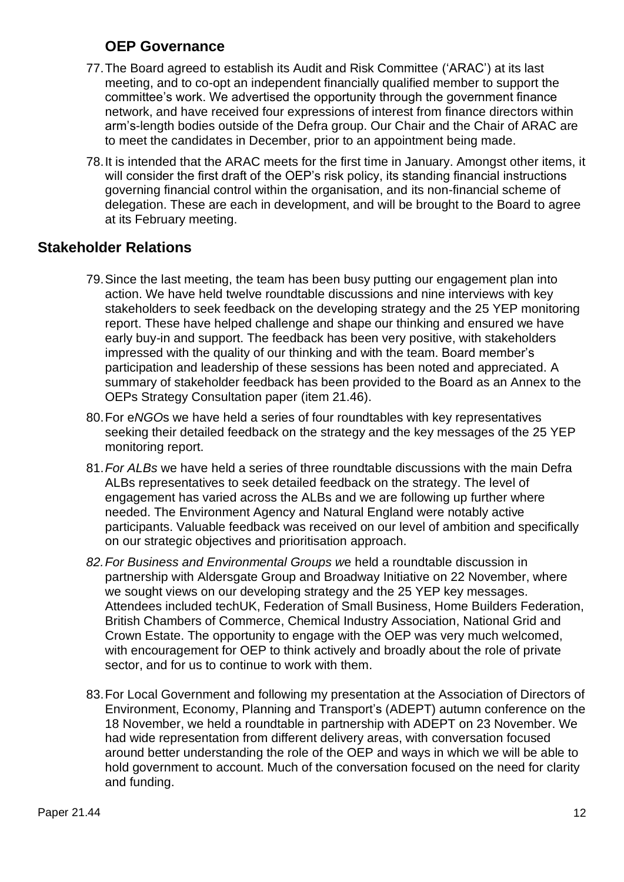### **OEP Governance**

- 77.The Board agreed to establish its Audit and Risk Committee ('ARAC') at its last meeting, and to co-opt an independent financially qualified member to support the committee's work. We advertised the opportunity through the government finance network, and have received four expressions of interest from finance directors within arm's-length bodies outside of the Defra group. Our Chair and the Chair of ARAC are to meet the candidates in December, prior to an appointment being made.
- 78.It is intended that the ARAC meets for the first time in January. Amongst other items, it will consider the first draft of the OEP's risk policy, its standing financial instructions governing financial control within the organisation, and its non-financial scheme of delegation. These are each in development, and will be brought to the Board to agree at its February meeting.

#### **Stakeholder Relations**

- 79.Since the last meeting, the team has been busy putting our engagement plan into action. We have held twelve roundtable discussions and nine interviews with key stakeholders to seek feedback on the developing strategy and the 25 YEP monitoring report. These have helped challenge and shape our thinking and ensured we have early buy-in and support. The feedback has been very positive, with stakeholders impressed with the quality of our thinking and with the team. Board member's participation and leadership of these sessions has been noted and appreciated. A summary of stakeholder feedback has been provided to the Board as an Annex to the OEPs Strategy Consultation paper (item 21.46).
- 80.For e*NGO*s we have held a series of four roundtables with key representatives seeking their detailed feedback on the strategy and the key messages of the 25 YEP monitoring report.
- 81.*For ALBs* we have held a series of three roundtable discussions with the main Defra ALBs representatives to seek detailed feedback on the strategy. The level of engagement has varied across the ALBs and we are following up further where needed. The Environment Agency and Natural England were notably active participants. Valuable feedback was received on our level of ambition and specifically on our strategic objectives and prioritisation approach.
- *82.For Business and Environmental Groups w*e held a roundtable discussion in partnership with Aldersgate Group and Broadway Initiative on 22 November, where we sought views on our developing strategy and the 25 YEP key messages. Attendees included techUK, Federation of Small Business, Home Builders Federation, British Chambers of Commerce, Chemical Industry Association, National Grid and Crown Estate. The opportunity to engage with the OEP was very much welcomed, with encouragement for OEP to think actively and broadly about the role of private sector, and for us to continue to work with them.
- 83.For Local Government and following my presentation at the Association of Directors of Environment, Economy, Planning and Transport's (ADEPT) autumn conference on the 18 November, we held a roundtable in partnership with ADEPT on 23 November. We had wide representation from different delivery areas, with conversation focused around better understanding the role of the OEP and ways in which we will be able to hold government to account. Much of the conversation focused on the need for clarity and funding.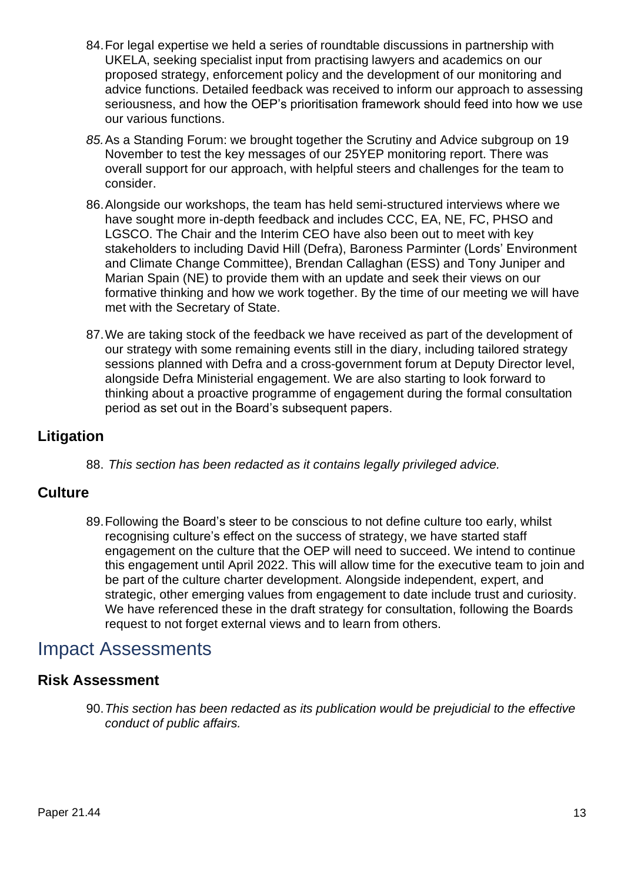- 84.For legal expertise we held a series of roundtable discussions in partnership with UKELA, seeking specialist input from practising lawyers and academics on our proposed strategy, enforcement policy and the development of our monitoring and advice functions. Detailed feedback was received to inform our approach to assessing seriousness, and how the OEP's prioritisation framework should feed into how we use our various functions.
- *85.*As a Standing Forum: we brought together the Scrutiny and Advice subgroup on 19 November to test the key messages of our 25YEP monitoring report. There was overall support for our approach, with helpful steers and challenges for the team to consider.
- 86.Alongside our workshops, the team has held semi-structured interviews where we have sought more in-depth feedback and includes CCC, EA, NE, FC, PHSO and LGSCO. The Chair and the Interim CEO have also been out to meet with key stakeholders to including David Hill (Defra), Baroness Parminter (Lords' Environment and Climate Change Committee), Brendan Callaghan (ESS) and Tony Juniper and Marian Spain (NE) to provide them with an update and seek their views on our formative thinking and how we work together. By the time of our meeting we will have met with the Secretary of State.
- 87.We are taking stock of the feedback we have received as part of the development of our strategy with some remaining events still in the diary, including tailored strategy sessions planned with Defra and a cross-government forum at Deputy Director level, alongside Defra Ministerial engagement. We are also starting to look forward to thinking about a proactive programme of engagement during the formal consultation period as set out in the Board's subsequent papers.

#### **Litigation**

88. *This section has been redacted as it contains legally privileged advice.*

#### **Culture**

89.Following the Board's steer to be conscious to not define culture too early, whilst recognising culture's effect on the success of strategy, we have started staff engagement on the culture that the OEP will need to succeed. We intend to continue this engagement until April 2022. This will allow time for the executive team to join and be part of the culture charter development. Alongside independent, expert, and strategic, other emerging values from engagement to date include trust and curiosity. We have referenced these in the draft strategy for consultation, following the Boards request to not forget external views and to learn from others.

## Impact Assessments

#### **Risk Assessment**

90.*This section has been redacted as its publication would be prejudicial to the effective conduct of public affairs.*